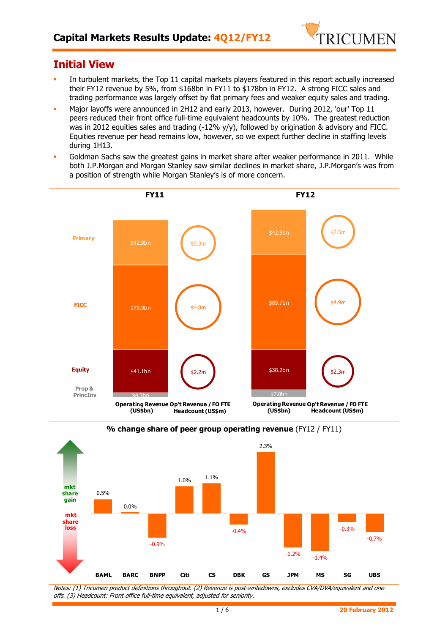

# **Initial View**

- In turbulent markets, the Top 11 capital markets players featured in this report actually increased their FY12 revenue by 5%, from \$168bn in FY11 to \$178bn in FY12. A strong FICC sales and trading performance was largely offset by flat primary fees and weaker equity sales and trading.
- Major layoffs were announced in 2H12 and early 2013, however. During 2012, 'our' Top 11 peers reduced their front office full-time equivalent headcounts by 10%. The greatest reduction was in 2012 equities sales and trading (-12% y/y), followed by origination & advisory and FICC. Equities revenue per head remains low, however, so we expect further decline in staffing levels during 1H13.
- Goldman Sachs saw the greatest gains in market share after weaker performance in 2011. While both J.P.Morgan and Morgan Stanley saw similar declines in market share, J.P.Morgan's was from a position of strength while Morgan Stanley's is of more concern.





**% change share of peer group operating revenue** (FY12 / FY11)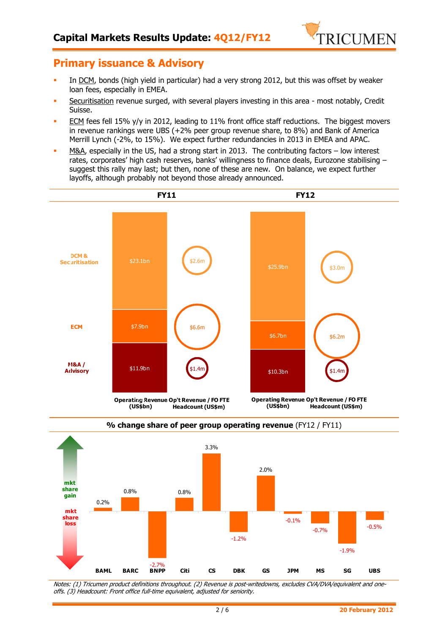

### **Primary issuance & Advisory**

- In DCM, bonds (high yield in particular) had a very strong 2012, but this was offset by weaker loan fees, especially in EMEA.
- Securitisation revenue surged, with several players investing in this area most notably, Credit Suisse.
- **ECM** fees fell 15% y/y in 2012, leading to 11% front office staff reductions. The biggest movers in revenue rankings were UBS (+2% peer group revenue share, to 8%) and Bank of America Merrill Lynch (-2%, to 15%). We expect further redundancies in 2013 in EMEA and APAC.
- M&A, especially in the US, had a strong start in 2013. The contributing factors low interest rates, corporates' high cash reserves, banks' willingness to finance deals, Eurozone stabilising – suggest this rally may last; but then, none of these are new. On balance, we expect further layoffs, although probably not beyond those already announced.





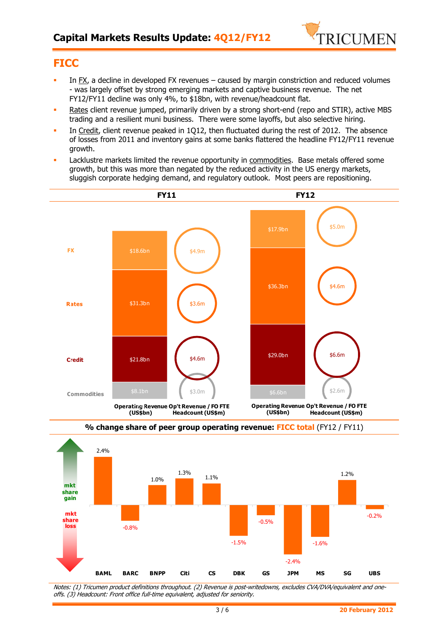

## **FICC**

- In FX, a decline in developed FX revenues caused by margin constriction and reduced volumes - was largely offset by strong emerging markets and captive business revenue. The net FY12/FY11 decline was only 4%, to \$18bn, with revenue/headcount flat.
- Rates client revenue jumped, primarily driven by a strong short-end (repo and STIR), active MBS trading and a resilient muni business. There were some layoffs, but also selective hiring.
- In Credit, client revenue peaked in 1Q12, then fluctuated during the rest of 2012. The absence of losses from 2011 and inventory gains at some banks flattered the headline FY12/FY11 revenue growth.
- **Lacklustre markets limited the revenue opportunity in commodities. Base metals offered some** growth, but this was more than negated by the reduced activity in the US energy markets, sluggish corporate hedging demand, and regulatory outlook. Most peers are repositioning.





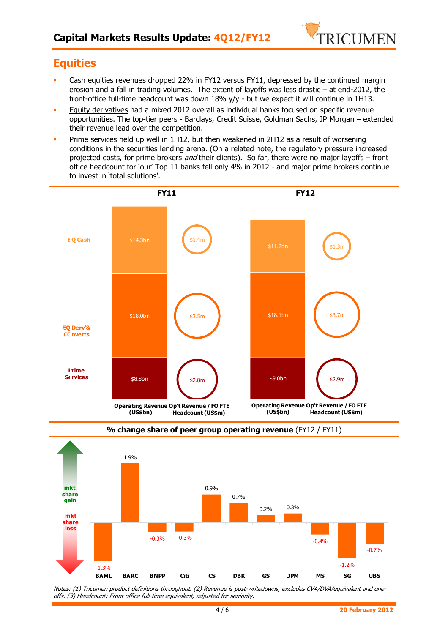

# **Equities**

- Cash equities revenues dropped 22% in FY12 versus FY11, depressed by the continued margin erosion and a fall in trading volumes. The extent of layoffs was less drastic – at end-2012, the front-office full-time headcount was down 18% y/y - but we expect it will continue in 1H13.
- Equity derivatives had a mixed 2012 overall as individual banks focused on specific revenue opportunities. The top-tier peers - Barclays, Credit Suisse, Goldman Sachs, JP Morgan – extended their revenue lead over the competition.
- Prime services held up well in 1H12, but then weakened in 2H12 as a result of worsening conditions in the securities lending arena. (On a related note, the regulatory pressure increased projected costs, for prime brokers and their clients). So far, there were no major layoffs – front office headcount for 'our' Top 11 banks fell only 4% in 2012 - and major prime brokers continue to invest in 'total solutions'.





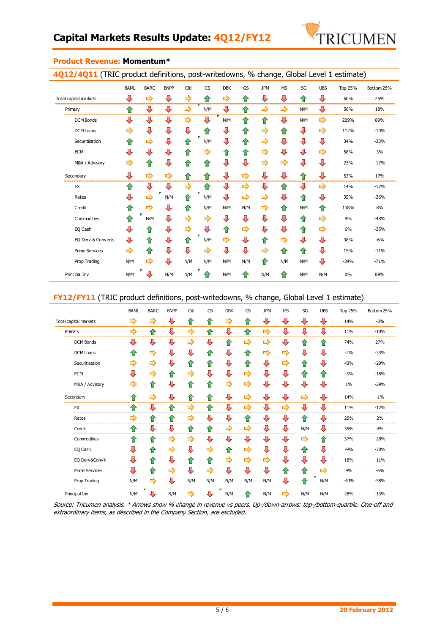

| <b>4Q12/4Q11</b> (TRIC product definitions, post-writedowns, % change, Global Level 1 estimate) |             |             |             |      |           |            |     |            |           |     |            |                |            |
|-------------------------------------------------------------------------------------------------|-------------|-------------|-------------|------|-----------|------------|-----|------------|-----------|-----|------------|----------------|------------|
|                                                                                                 | <b>BAML</b> | <b>BARC</b> | <b>BNPP</b> | Citi | <b>CS</b> | <b>DBK</b> | GS  | <b>JPM</b> | <b>MS</b> | SG  | <b>UBS</b> | <b>Top 25%</b> | Bottom 25% |
| Total capital markets                                                                           | ⊕           | ⇨           | ⊕           | ⇨    | ⇧         | ⇨          | ⇧   | ⊕          | ⇩         | ⇧   | ⊕          | 60%            | 25%        |
| Primary                                                                                         | ⇧           | ⊕           | ⊕           | ⇨    | N/M       | ⊕          | ⇧   | ⇨          | ⇨         | N/M | ⊕          | 56%            | 18%        |
| <b>DCM Bonds</b>                                                                                | ⊕           | ⇩           | ⊕           | ⇨    | ⇩         | N/M        | ⇧   | ⇧          | ⇩         | N/M | ⇨          | 229%           | 89%        |
| <b>DCM Loans</b>                                                                                | ⇨           | ⇩           | ⊕           | ⇩    | ⇑         | ⊕          | ⇧   | ⇨          | ⇧         | ⊕   | ⇨          | 112%           | $-10%$     |
| Securitisation                                                                                  | ⇧           | ⇨           | ⊕           | ⇑    | N/M       | ⇩          | 슙   | ⇨          | ⇩         | ⊕   | ⊕          | 34%            | $-33%$     |
| <b>ECM</b>                                                                                      | ⇩           | ⇩           | ⊕           | ⇑    | ⇨         | ⇧          | ⇧   | ⇨          | ⇩         | ⊕   | ⇨          | 58%            | 3%         |
| M&A / Advisory                                                                                  | ⇨           | ⇧           | ⊕           | ⇧    | ⇧         | ⊕          | ⊕   | ⇨          | ⇨         | ⊕   | ⊕          | 23%            | $-17%$     |
| Secondary                                                                                       | ⊕           | ⇨           | ⇨           | ⇧    | ⇧         | ⇩          | ⇨   | ⇩          | ⇩         | ⇧   | ⊕          | 53%            | 17%        |
| <b>FX</b>                                                                                       | ⇧           | ⊕           | ⊕           | ⇨    | ⇧         | ⊕          | ⇨   | ⇩          | ⇧         | ⊕   | ⇨          | 14%            | $-17%$     |
| Rates                                                                                           | ⊕           | ⇨           | N/M         | ⇑    | N/M       | ⊕          | ⇨   | ⇨          | ⇩         | ⇧   | ⇩          | 35%            | $-36%$     |
| Credit                                                                                          | ⇧           | ⇨           | ⇩           | ⇑    | N/M       | N/M        | N/M | ⇨          | ✿         | N/M | ⇑          | 138%           | 8%         |
| Commodities                                                                                     | ⇧           | N/M         | ⊕           | ⇨    | ⇨         | ⊕          | ⊕   | ⊕          | ⇩         | ⇧   | ⇨          | 9%             | $-48%$     |
| EQ Cash                                                                                         | ⊕           | ⇑           | ⊕           | ⇨    | ⊕         | ⇧          | ⇨   | ⇩          | ⇩         | 슙   | ⇨          | 6%             | $-35%$     |
| EQ Derv & Converts                                                                              | ⊕           | ⇮           | ⊕           | ⇑    | N/M       | ⇨          | ⇩   | ⇮          | ⇨         | ⊕   | ⊕          | 38%            | $-6%$      |
| <b>Prime Services</b>                                                                           | ⇨           | ⇧           | ⇩           | ⇩    | ⇨         | ⊕          | ⊕   | ⇨          | ⇑         | ⇧   | ⇩          | 15%            | $-11%$     |
| Prop Trading                                                                                    | N/M         | ⇨           | ⊕           | N/M  | N/M       | N/M        | N/M | ⇧          | N/M       | N/M | ⇩          | $-34%$         | $-71%$     |
| Principal Inv                                                                                   | N/M         | J           | N/M         | N/M  | 11        | N/M        | ⇧   | N/M        | ⇑         | N/M | N/M        | 0%             | 89%        |

#### **Product Revenue: Momentum\***

**4Q12/4Q11** (TRIC product definitions, post-writedowns, % change, Global Level 1 estimate)

#### **FY12/FY11** (TRIC product definitions, post-writedowns, % change, Global Level 1 estimate)

|                       | <b>BAML</b> | <b>BARC</b> | <b>BNPP</b> | Citi | <b>CS</b>     | <b>DBK</b> | GS  | <b>JPM</b> | <b>MS</b> | SG  | <b>UBS</b> | Top 25% | Bottom 25% |
|-----------------------|-------------|-------------|-------------|------|---------------|------------|-----|------------|-----------|-----|------------|---------|------------|
| Total capital markets | ➡           | ➡           | ⊕           | ⇧    | ⇧             | ⇨          | ⇧   | ⊕          | ⇩         | ⊕   | ⊕          | 14%     | $-3%$      |
| Primary               | ➡           | 企           | ⊕           | ⇨    | ⇧             | ⊕          | ⇧   | ⇨          | ⊕         | ⊕   | ⊕          | 11%     | $-10%$     |
| <b>DCM Bonds</b>      | ⊕           | ⊕           | ⊕           | ⇨    | ⇩             | 合          | ⇨   | ⇨          | ⇩         | ⇧   | ⇑          | 74%     | 27%        |
| DCM Loans             | ⇧           | ⇨           | ⊕           | ⇩    | ⇧             | ⇩          | ⇧   | ⇨          | ⇨         | ⊕   | ⇩          | $-2%$   | $-33%$     |
| Securitisation        | ⇨           | ⇨           | ⊕           | ⇧    | ⇑             | ⊕          | ⇧   | ⊕          | ⇨         | ⇧   | ⇩          | 43%     | $-29%$     |
| ECM                   | ⊕           | ⇨           | ⇧           | ⇨    | ⇩             | ⇩          | ⇨   | ⊕          | ⇩         | ⇧   | ⇧          | $-3%$   | $-18%$     |
| M&A / Advisory        | ⇨           | ⇧           | ⊕           | ⇧    | 合             | ⇨          | ⇨   | ⇩          | ⇩         | ⊕   | ⇩          | 1%      | $-29%$     |
| Secondary             | ⇑           | ⇨           | ⊕           | ⇧    | 合             | ⇩          | ⇨   | ⊕          | ⇩         | ⇨   | ⇩          | 14%     | $-1%$      |
| <b>FX</b>             | ⇧           | ⊕           | ⇧           | ⇨    | ⇧             | ⇩          | ⇨   | ⊕          | ⇨         | ⊕   | ⇩          | 11%     | $-12%$     |
| Rates                 | ⇨           | ⇧           | ⇧           | ⇨    | ⇩             | ⇩          | 合   | ⇩          | ⇩         | ⇧   | ⇩          | 25%     | 2%         |
| Credit                | ⇑           | ⇩           | ⊕           | ⇧    | 合             | ⇨          | ⇨   | ⊕          | ⇩         | N/M | ⇩          | 35%     | 4%         |
| Commodities           | ⇧           | ⇧           | ⇨           | ⇨    | ⇩             | ⊕          | ⇩   | ⊕          | ⇩         | ⇨   | ⇑          | 37%     | $-28%$     |
| EQ Cash               | ⊕           | ⇧           | ⇨           | ⇩    | ⇨             | ⇧          | ⇨   | ⇩          | ⇩         | ⇧   | ⇩          | $-9%$   | $-30%$     |
| EQ Derv&Conv't        | ⊕           | ⇧           | ⊕           | 合    | ⇑             | ⇨          | ⇨   | ⇨          | ⇩         | ⊕   | ⇩          | 18%     | $-11%$     |
| <b>Prime Services</b> | ⊕           | 企           | ⇨           | ⇩    | $\Rightarrow$ | ⇩          | ⇩   | ⇩          | ⇧         | 合   | ⇨          | 9%      | $-6%$      |
| Prop Trading          | N/M         | ⇨           | ⊕           | N/M  | N/M           | N/M        | N/M | N/M        | ⇩         | ⇧   | N/M        | $-40%$  | $-58%$     |
| Principal Inv         | N/M         | ⇩           | N/M         | ⇨    | Д             | N/M        | ⇑   | N/M        | ⇨         | N/M | N/M        | 28%     | $-13%$     |

Source: Tricumen analysis. \* Arrows show % change in revenue vs peers. Up-/down-arrows: top-/bottom-quartile. One-off and extraordinary items, as described in the Company Section, are excluded.